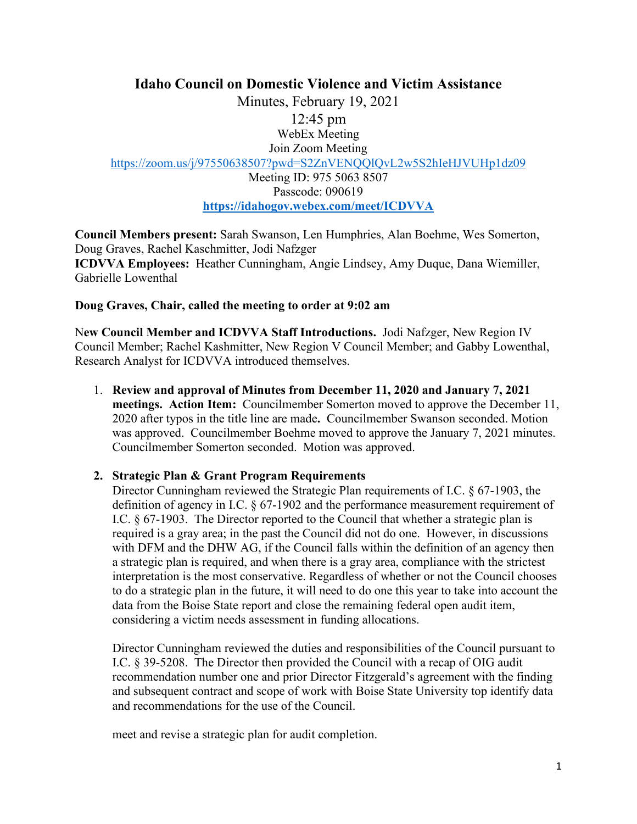# **Idaho Council on Domestic Violence and Victim Assistance**

Minutes, February 19, 2021 12:45 pm WebEx Meeting Join Zoom Meeting <https://zoom.us/j/97550638507?pwd=S2ZnVENQQlQvL2w5S2hIeHJVUHp1dz09> Meeting ID: 975 5063 8507 Passcode: 090619 **<https://idahogov.webex.com/meet/ICDVVA>**

**Council Members present:** Sarah Swanson, Len Humphries, Alan Boehme, Wes Somerton, Doug Graves, Rachel Kaschmitter, Jodi Nafzger **ICDVVA Employees:** Heather Cunningham, Angie Lindsey, Amy Duque, Dana Wiemiller, Gabrielle Lowenthal

## **Doug Graves, Chair, called the meeting to order at 9:02 am**

N**ew Council Member and ICDVVA Staff Introductions.** Jodi Nafzger, New Region IV Council Member; Rachel Kashmitter, New Region V Council Member; and Gabby Lowenthal, Research Analyst for ICDVVA introduced themselves.

1. **Review and approval of Minutes from December 11, 2020 and January 7, 2021 meetings. Action Item:** Councilmember Somerton moved to approve the December 11, 2020 after typos in the title line are made**.** Councilmember Swanson seconded. Motion was approved. Councilmember Boehme moved to approve the January 7, 2021 minutes. Councilmember Somerton seconded. Motion was approved.

## **2. Strategic Plan & Grant Program Requirements**

Director Cunningham reviewed the Strategic Plan requirements of I.C. § 67-1903, the definition of agency in I.C. § 67-1902 and the performance measurement requirement of I.C. § 67-1903. The Director reported to the Council that whether a strategic plan is required is a gray area; in the past the Council did not do one. However, in discussions with DFM and the DHW AG, if the Council falls within the definition of an agency then a strategic plan is required, and when there is a gray area, compliance with the strictest interpretation is the most conservative. Regardless of whether or not the Council chooses to do a strategic plan in the future, it will need to do one this year to take into account the data from the Boise State report and close the remaining federal open audit item, considering a victim needs assessment in funding allocations.

Director Cunningham reviewed the duties and responsibilities of the Council pursuant to I.C. § 39-5208. The Director then provided the Council with a recap of OIG audit recommendation number one and prior Director Fitzgerald's agreement with the finding and subsequent contract and scope of work with Boise State University top identify data and recommendations for the use of the Council.

meet and revise a strategic plan for audit completion.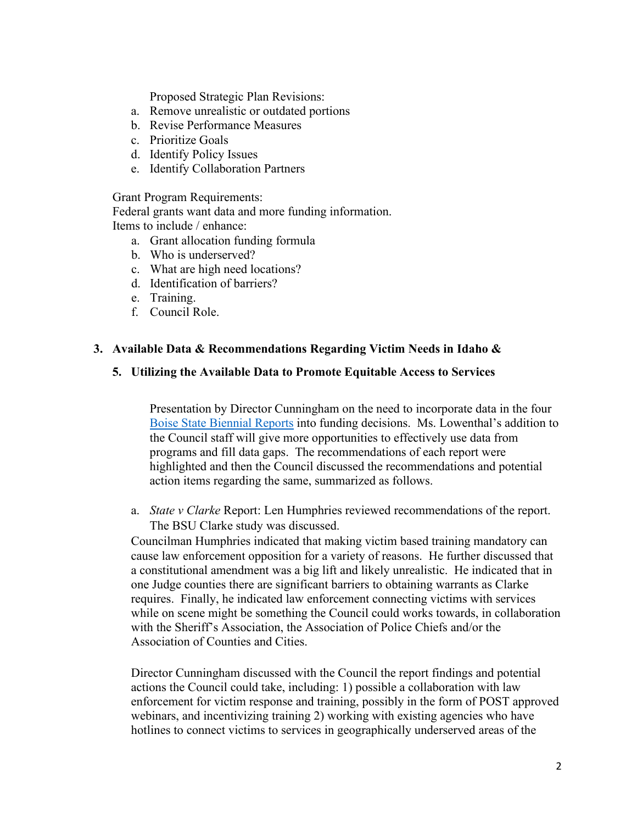Proposed Strategic Plan Revisions:

- a. Remove unrealistic or outdated portions
- b. Revise Performance Measures
- c. Prioritize Goals
- d. Identify Policy Issues
- e. Identify Collaboration Partners

Grant Program Requirements:

Federal grants want data and more funding information. Items to include / enhance:

- a. Grant allocation funding formula
- b. Who is underserved?
- c. What are high need locations?
- d. Identification of barriers?
- e. Training.
- f. Council Role.

## **3. Available Data & Recommendations Regarding Victim Needs in Idaho &**

#### **5. Utilizing the Available Data to Promote Equitable Access to Services**

Presentation by Director Cunningham on the need to incorporate data in the four [Boise State Biennial Reports](https://www.boisestate.edu/sps-criminaljustice/biennial-report/) into funding decisions. Ms. Lowenthal's addition to the Council staff will give more opportunities to effectively use data from programs and fill data gaps. The recommendations of each report were highlighted and then the Council discussed the recommendations and potential action items regarding the same, summarized as follows.

a. *State v Clarke* Report: Len Humphries reviewed recommendations of the report. The BSU Clarke study was discussed.

Councilman Humphries indicated that making victim based training mandatory can cause law enforcement opposition for a variety of reasons. He further discussed that a constitutional amendment was a big lift and likely unrealistic. He indicated that in one Judge counties there are significant barriers to obtaining warrants as Clarke requires. Finally, he indicated law enforcement connecting victims with services while on scene might be something the Council could works towards, in collaboration with the Sheriff's Association, the Association of Police Chiefs and/or the Association of Counties and Cities.

Director Cunningham discussed with the Council the report findings and potential actions the Council could take, including: 1) possible a collaboration with law enforcement for victim response and training, possibly in the form of POST approved webinars, and incentivizing training 2) working with existing agencies who have hotlines to connect victims to services in geographically underserved areas of the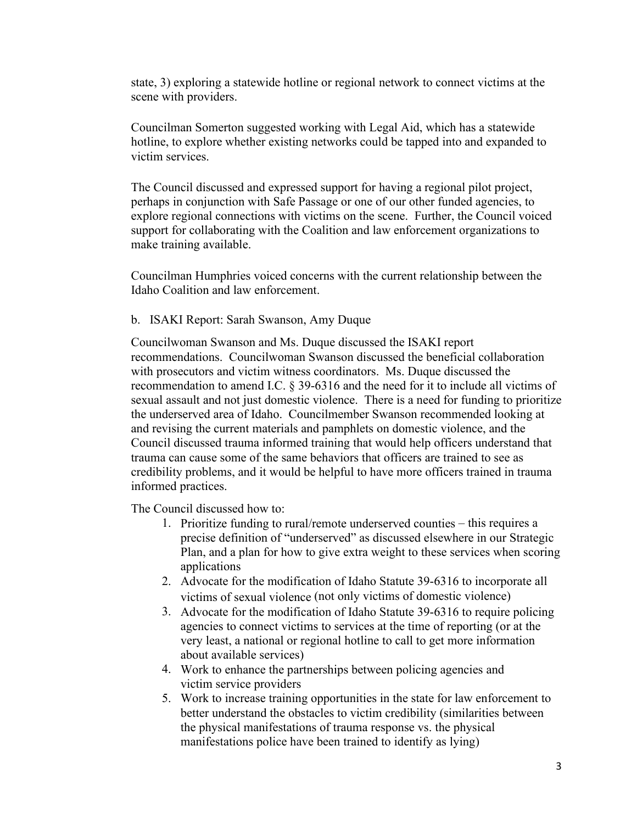state, 3) exploring a statewide hotline or regional network to connect victims at the scene with providers.

Councilman Somerton suggested working with Legal Aid, which has a statewide hotline, to explore whether existing networks could be tapped into and expanded to victim services.

The Council discussed and expressed support for having a regional pilot project, perhaps in conjunction with Safe Passage or one of our other funded agencies, to explore regional connections with victims on the scene. Further, the Council voiced support for collaborating with the Coalition and law enforcement organizations to make training available.

Councilman Humphries voiced concerns with the current relationship between the Idaho Coalition and law enforcement.

### b. ISAKI Report: Sarah Swanson, Amy Duque

Councilwoman Swanson and Ms. Duque discussed the ISAKI report recommendations. Councilwoman Swanson discussed the beneficial collaboration with prosecutors and victim witness coordinators. Ms. Duque discussed the recommendation to amend I.C. § 39-6316 and the need for it to include all victims of sexual assault and not just domestic violence. There is a need for funding to prioritize the underserved area of Idaho. Councilmember Swanson recommended looking at and revising the current materials and pamphlets on domestic violence, and the Council discussed trauma informed training that would help officers understand that trauma can cause some of the same behaviors that officers are trained to see as credibility problems, and it would be helpful to have more officers trained in trauma informed practices.

The Council discussed how to:

- 1. Prioritize funding to rural/remote underserved counties this requires a precise definition of "underserved" as discussed elsewhere in our Strategic Plan, and a plan for how to give extra weight to these services when scoring applications
- 2. Advocate for the modification of Idaho Statute 39-6316 to incorporate all victims of sexual violence (not only victims of domestic violence)
- 3. Advocate for the modification of Idaho Statute 39-6316 to require policing agencies to connect victims to services at the time of reporting (or at the very least, a national or regional hotline to call to get more information about available services)
- 4. Work to enhance the partnerships between policing agencies and victim service providers
- 5. Work to increase training opportunities in the state for law enforcement to better understand the obstacles to victim credibility (similarities between the physical manifestations of trauma response vs. the physical manifestations police have been trained to identify as lying)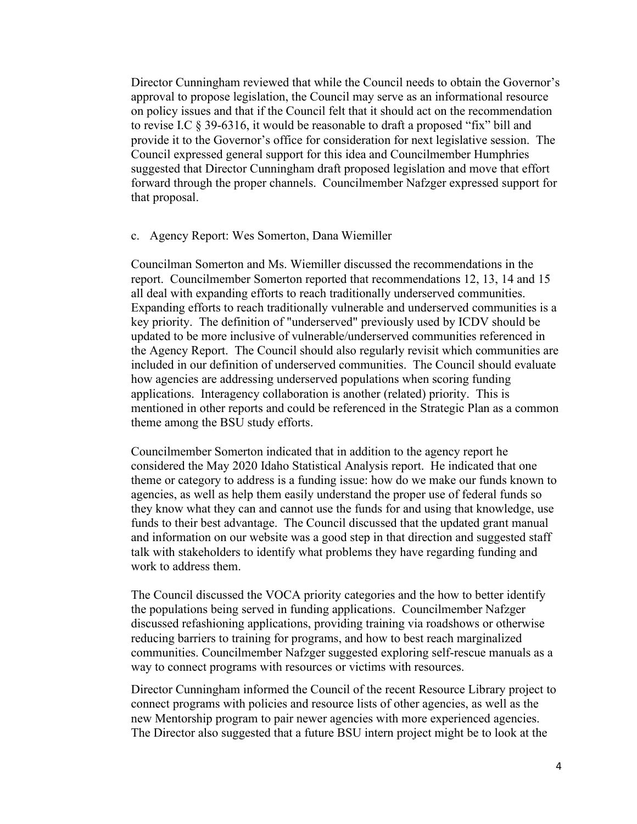Director Cunningham reviewed that while the Council needs to obtain the Governor's approval to propose legislation, the Council may serve as an informational resource on policy issues and that if the Council felt that it should act on the recommendation to revise I.C § 39-6316, it would be reasonable to draft a proposed "fix" bill and provide it to the Governor's office for consideration for next legislative session. The Council expressed general support for this idea and Councilmember Humphries suggested that Director Cunningham draft proposed legislation and move that effort forward through the proper channels. Councilmember Nafzger expressed support for that proposal.

#### c. Agency Report: Wes Somerton, Dana Wiemiller

Councilman Somerton and Ms. Wiemiller discussed the recommendations in the report. Councilmember Somerton reported that recommendations 12, 13, 14 and 15 all deal with expanding efforts to reach traditionally underserved communities. Expanding efforts to reach traditionally vulnerable and underserved communities is a key priority. The definition of "underserved" previously used by ICDV should be updated to be more inclusive of vulnerable/underserved communities referenced in the Agency Report. The Council should also regularly revisit which communities are included in our definition of underserved communities. The Council should evaluate how agencies are addressing underserved populations when scoring funding applications. Interagency collaboration is another (related) priority. This is mentioned in other reports and could be referenced in the Strategic Plan as a common theme among the BSU study efforts.

Councilmember Somerton indicated that in addition to the agency report he considered the May 2020 Idaho Statistical Analysis report. He indicated that one theme or category to address is a funding issue: how do we make our funds known to agencies, as well as help them easily understand the proper use of federal funds so they know what they can and cannot use the funds for and using that knowledge, use funds to their best advantage. The Council discussed that the updated grant manual and information on our website was a good step in that direction and suggested staff talk with stakeholders to identify what problems they have regarding funding and work to address them.

The Council discussed the VOCA priority categories and the how to better identify the populations being served in funding applications. Councilmember Nafzger discussed refashioning applications, providing training via roadshows or otherwise reducing barriers to training for programs, and how to best reach marginalized communities. Councilmember Nafzger suggested exploring self-rescue manuals as a way to connect programs with resources or victims with resources.

Director Cunningham informed the Council of the recent Resource Library project to connect programs with policies and resource lists of other agencies, as well as the new Mentorship program to pair newer agencies with more experienced agencies. The Director also suggested that a future BSU intern project might be to look at the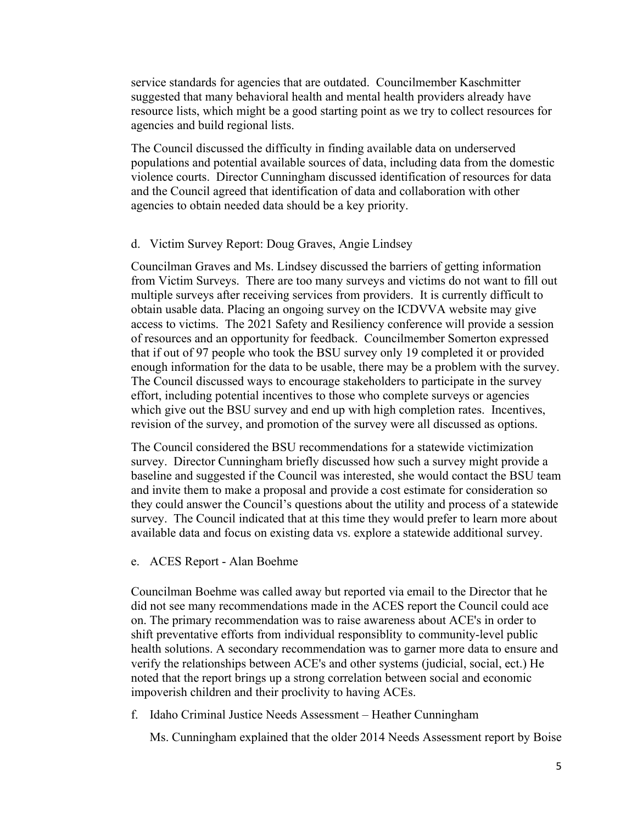service standards for agencies that are outdated. Councilmember Kaschmitter suggested that many behavioral health and mental health providers already have resource lists, which might be a good starting point as we try to collect resources for agencies and build regional lists.

The Council discussed the difficulty in finding available data on underserved populations and potential available sources of data, including data from the domestic violence courts. Director Cunningham discussed identification of resources for data and the Council agreed that identification of data and collaboration with other agencies to obtain needed data should be a key priority.

#### d. Victim Survey Report: Doug Graves, Angie Lindsey

Councilman Graves and Ms. Lindsey discussed the barriers of getting information from Victim Surveys. There are too many surveys and victims do not want to fill out multiple surveys after receiving services from providers. It is currently difficult to obtain usable data. Placing an ongoing survey on the ICDVVA website may give access to victims. The 2021 Safety and Resiliency conference will provide a session of resources and an opportunity for feedback. Councilmember Somerton expressed that if out of 97 people who took the BSU survey only 19 completed it or provided enough information for the data to be usable, there may be a problem with the survey. The Council discussed ways to encourage stakeholders to participate in the survey effort, including potential incentives to those who complete surveys or agencies which give out the BSU survey and end up with high completion rates. Incentives, revision of the survey, and promotion of the survey were all discussed as options.

The Council considered the BSU recommendations for a statewide victimization survey. Director Cunningham briefly discussed how such a survey might provide a baseline and suggested if the Council was interested, she would contact the BSU team and invite them to make a proposal and provide a cost estimate for consideration so they could answer the Council's questions about the utility and process of a statewide survey. The Council indicated that at this time they would prefer to learn more about available data and focus on existing data vs. explore a statewide additional survey.

e. ACES Report - Alan Boehme

Councilman Boehme was called away but reported via email to the Director that he did not see many recommendations made in the ACES report the Council could ace on. The primary recommendation was to raise awareness about ACE's in order to shift preventative efforts from individual responsiblity to community-level public health solutions. A secondary recommendation was to garner more data to ensure and verify the relationships between ACE's and other systems (judicial, social, ect.) He noted that the report brings up a strong correlation between social and economic impoverish children and their proclivity to having ACEs.

f. Idaho Criminal Justice Needs Assessment – Heather Cunningham

Ms. Cunningham explained that the older 2014 Needs Assessment report by Boise